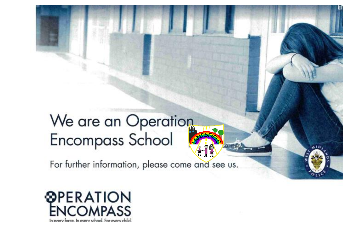## We are an Operation Encompass School

For further information, please come and see us.

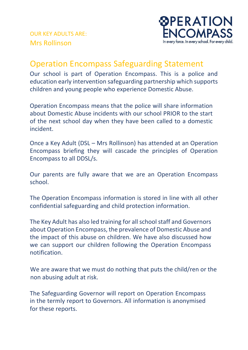

## Operation Encompass Safeguarding Statement

Our school is part of Operation Encompass. This is a police and education early intervention safeguarding partnership which supports children and young people who experience Domestic Abuse.

Operation Encompass means that the police will share information about Domestic Abuse incidents with our school PRIOR to the start of the next school day when they have been called to a domestic incident.

Once a Key Adult (DSL – Mrs Rollinson) has attended at an Operation Encompass briefing they will cascade the principles of Operation Encompass to all DDSL/s.

Our parents are fully aware that we are an Operation Encompass school.

The Operation Encompass information is stored in line with all other confidential safeguarding and child protection information.

The Key Adult has also led training for all school staff and Governors about Operation Encompass, the prevalence of Domestic Abuse and the impact of this abuse on children. We have also discussed how we can support our children following the Operation Encompass notification.

We are aware that we must do nothing that puts the child/ren or the non abusing adult at risk.

The Safeguarding Governor will report on Operation Encompass in the termly report to Governors. All information is anonymised for these reports.